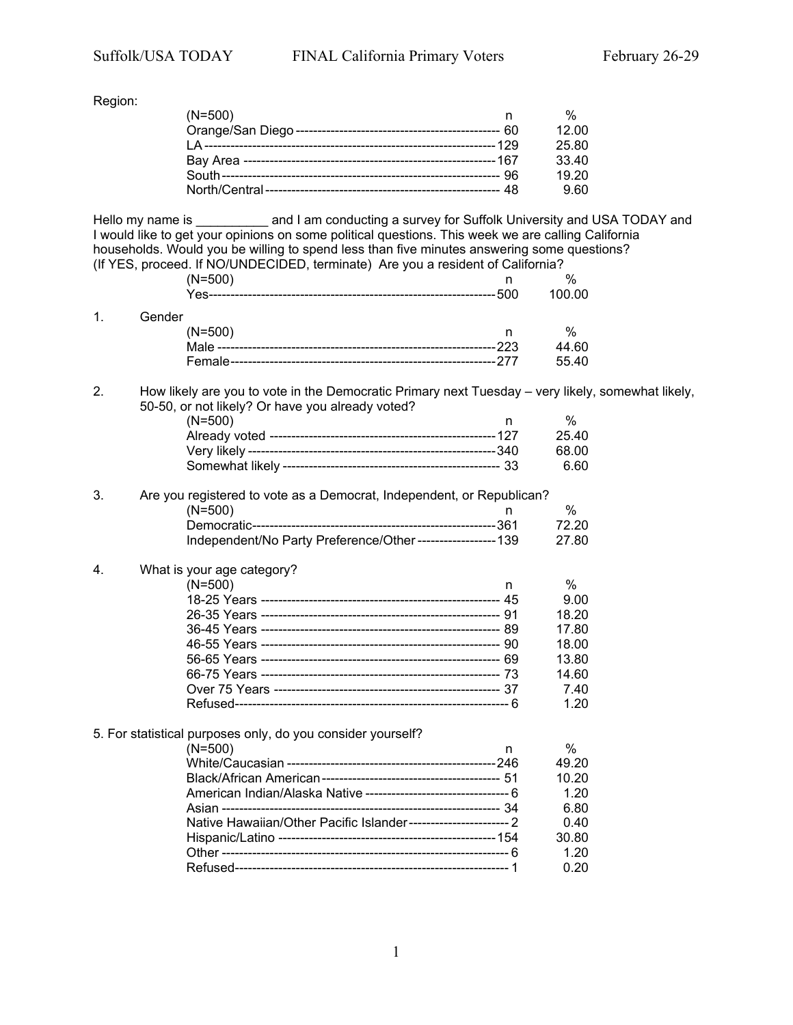Region:

| $(N=500)$ |       |
|-----------|-------|
|           | 12.00 |
|           | 25.80 |
|           | 33.40 |
|           | 19.20 |
|           | 9.60  |
|           |       |

Hello my name is \_\_\_\_\_\_\_\_\_\_ and I am conducting a survey for Suffolk University and USA TODAY and I would like to get your opinions on some political questions. This week we are calling California households. Would you be willing to spend less than five minutes answering some questions? (If YES, proceed. If NO/UNDECIDED, terminate) Are you a resident of California?

|              | $(N=500)$ | $\%$   |
|--------------|-----------|--------|
|              |           | 100.00 |
| $\mathbf{1}$ | Gender    |        |
|              | $(N=500)$ | %      |
|              |           | 44.60  |

2. How likely are you to vote in the Democratic Primary next Tuesday – very likely, somewhat likely, 50-50, or not likely? Or have you already voted?

Female-------------------------------------------------------------277 55.40

| (N=500) |       |
|---------|-------|
|         | 25.40 |
|         | 68.00 |
|         | 6.60  |
|         |       |

| 3. | Are you registered to vote as a Democrat, Independent, or Republican? |       |
|----|-----------------------------------------------------------------------|-------|
|    | $(N=500)$                                                             | %     |
|    |                                                                       | 72.20 |
|    | Independent/No Party Preference/Other------------------ 139           | 27.80 |

#### 4. What is your age category?

| $(N=500)$ | %     |
|-----------|-------|
|           | 9.00  |
|           | 18.20 |
|           | 17.80 |
|           | 18.00 |
|           | 13.80 |
|           | 14.60 |
|           | 7.40  |
|           | 1.20  |

## 5. For statistical purposes only, do you consider yourself?

| $(N=500)$                                                           | %     |
|---------------------------------------------------------------------|-------|
|                                                                     | 49.20 |
|                                                                     | 10.20 |
|                                                                     | 1.20  |
|                                                                     | 6.80  |
| Native Hawaiian/Other Pacific Islander--------------------------- 2 | 0.40  |
|                                                                     | 30.80 |
|                                                                     | 1.20  |
|                                                                     | 0.20  |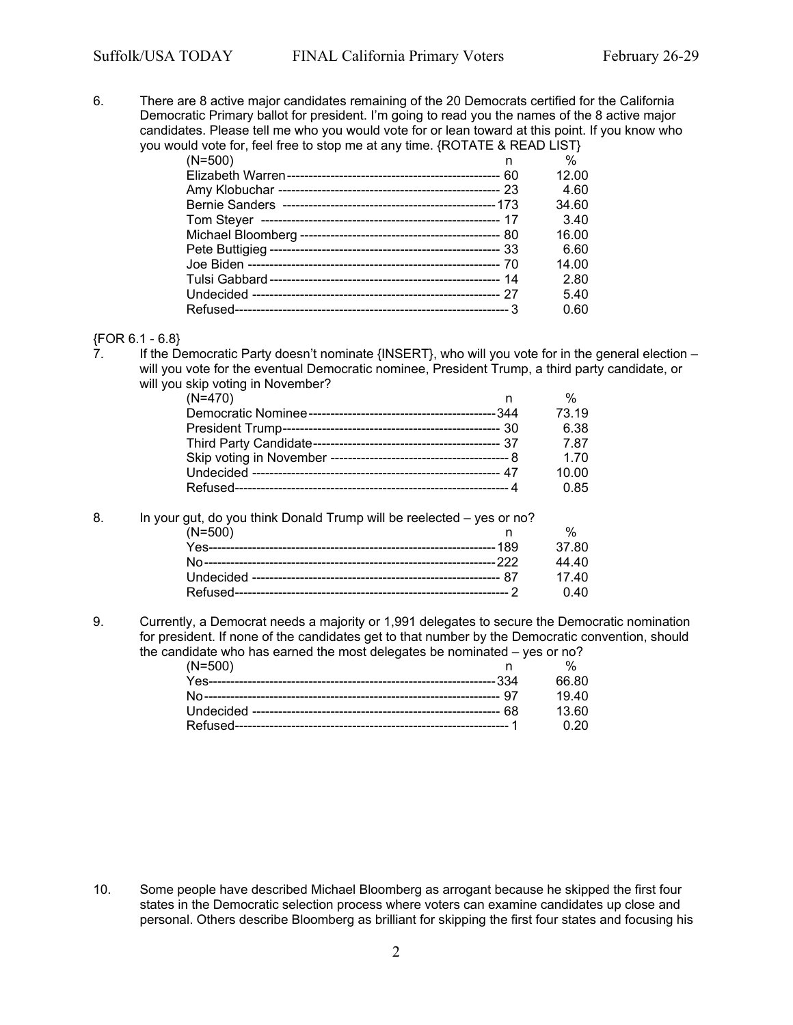6. There are 8 active major candidates remaining of the 20 Democrats certified for the California Democratic Primary ballot for president. I'm going to read you the names of the 8 active major candidates. Please tell me who you would vote for or lean toward at this point. If you know who you would vote for, feel free to stop me at any time. {ROTATE & READ LIST}

| $(N=500)$<br>n | $\%$  |
|----------------|-------|
|                | 12.00 |
|                | 4.60  |
|                | 34.60 |
|                | 3.40  |
|                | 16.00 |
|                | 6.60  |
|                | 14.00 |
|                | 2.80  |
|                | 5.40  |
|                | 0.60  |

# ${FOR 6.1 - 6.8}$ <br>7 If the De

If the Democratic Party doesn't nominate {INSERT}, who will you vote for in the general election – will you vote for the eventual Democratic nominee, President Trump, a third party candidate, or will you skip voting in November?

| $(N=470)$ | %     |
|-----------|-------|
|           | 73.19 |
|           | 6.38  |
|           | 7.87  |
|           | 1.70  |
|           | 10.00 |
|           | 0.85  |

8. In your gut, do you think Donald Trump will be reelected – yes or no?

| $(N=500)$ |        |
|-----------|--------|
|           | -37 80 |
|           | 44 40  |
|           | 17 40  |
|           | 0,40   |

9. Currently, a Democrat needs a majority or 1,991 delegates to secure the Democratic nomination for president. If none of the candidates get to that number by the Democratic convention, should the candidate who has earned the most delegates be nominated – yes or no?

| $(N=500)$ |             |
|-----------|-------------|
|           | 66.80       |
|           | 1940        |
|           | 13 60       |
|           | <u>በ 20</u> |

10. Some people have described Michael Bloomberg as arrogant because he skipped the first four states in the Democratic selection process where voters can examine candidates up close and personal. Others describe Bloomberg as brilliant for skipping the first four states and focusing his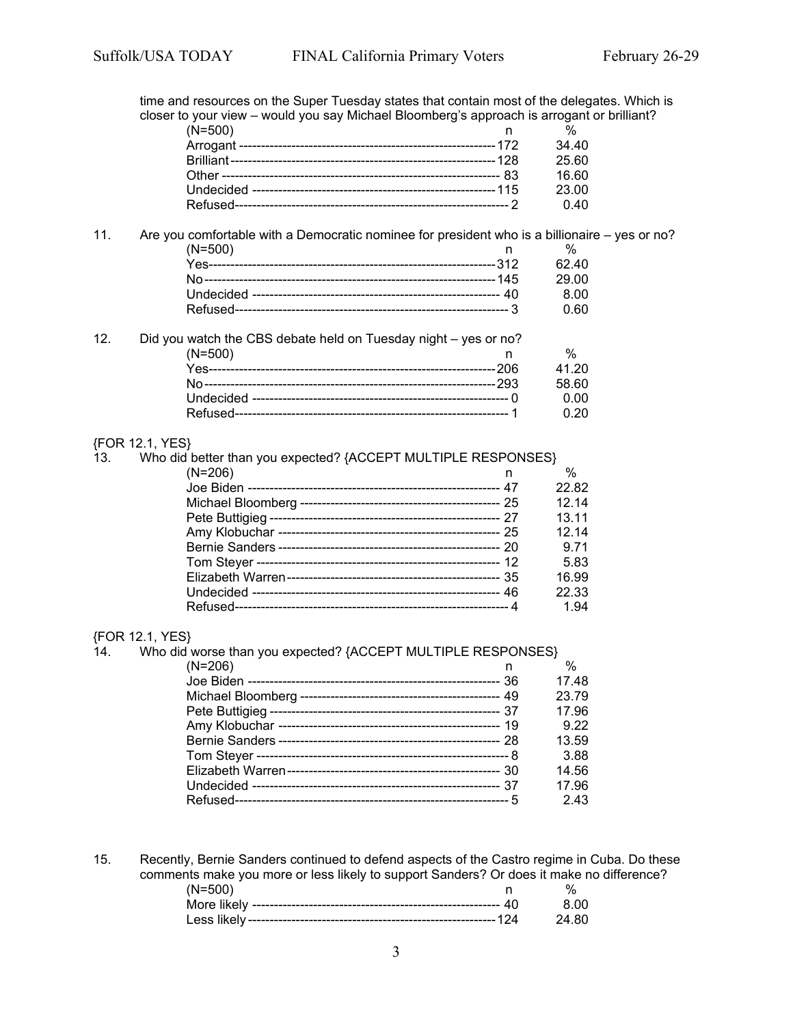time and resources on the Super Tuesday states that contain most of the delegates. Which is closer to your view – would you say Michael Bloomberg's approach is arrogant or brilliant?

| or to your from thousand you cay micricial Biochileory o approach to an egaint or bi |       |  |
|--------------------------------------------------------------------------------------|-------|--|
| $(N=500)$                                                                            |       |  |
|                                                                                      | 34.40 |  |
|                                                                                      | 25.60 |  |
|                                                                                      | 16.60 |  |
|                                                                                      | 23.00 |  |
|                                                                                      | 0.40  |  |
|                                                                                      |       |  |

# 11. Are you comfortable with a Democratic nominee for president who is a billionaire – yes or no? (N=500) n % Yes------------------------------------------------------------------312 62.40 No-------------------------------------------------------------------145 29.00 Undecided --------------------------------------------------------- 40 8.00

12. Did you watch the CBS debate held on Tuesday night – yes or no? (N=500) n % Yes------------------------------------------------------------------206 41.20 No-------------------------------------------------------------------293 58.60 Undecided ----------------------------------------------------------- 0 0.00 Refused--------------------------------------------------------------- 1 0.20

Refused--------------------------------------------------------------- 3 0.60

#### {FOR 12.1, YES}

| 13. | Who did better than you expected? {ACCEPT MULTIPLE RESPONSES} |       |  |
|-----|---------------------------------------------------------------|-------|--|
|     | $(N=206)$                                                     | $\%$  |  |
|     |                                                               | 22.82 |  |
|     |                                                               | 12.14 |  |
|     |                                                               | 13.11 |  |
|     |                                                               | 12.14 |  |
|     |                                                               | 9.71  |  |
|     |                                                               | 5.83  |  |
|     |                                                               | 16.99 |  |
|     |                                                               | 22.33 |  |
|     |                                                               | 1.94  |  |

#### {FOR 12.1, YES}

| 14. | Who did worse than you expected? {ACCEPT MULTIPLE RESPONSES} |               |
|-----|--------------------------------------------------------------|---------------|
|     | $(N=206)$                                                    | $\frac{0}{0}$ |
|     |                                                              | 17.48         |
|     |                                                              | 23.79         |
|     |                                                              | 17.96         |
|     |                                                              | 9.22          |
|     |                                                              | 13.59         |
|     |                                                              | 3.88          |
|     |                                                              | 14.56         |
|     |                                                              | 17.96         |
|     |                                                              | 2.43          |

15. Recently, Bernie Sanders continued to defend aspects of the Castro regime in Cuba. Do these comments make you more or less likely to support Sanders? Or does it make no difference?<br>(N=500) h % (N=500) n % More likely --------------------------------------------------------- 40 8.00 Less likely ---------------------------------------------------------124 24.80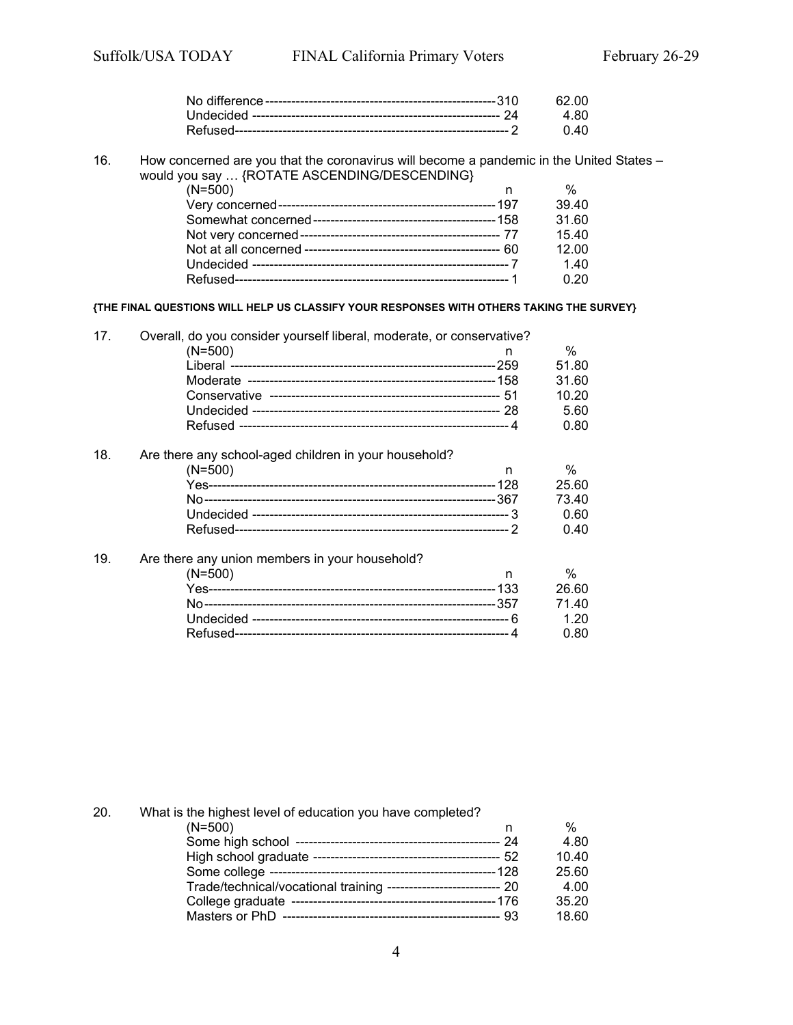16. How concerned are you that the coronavirus will become a pandemic in the United States – would you say … {ROTATE ASCENDING/DESCENDING}

| $(N=500)$ | %     |
|-----------|-------|
|           | 39.40 |
|           | 31.60 |
|           | 15.40 |
|           | 12.00 |
|           | 1.40  |
|           | 0.20  |
|           |       |

**{THE FINAL QUESTIONS WILL HELP US CLASSIFY YOUR RESPONSES WITH OTHERS TAKING THE SURVEY}**

|     | Overall, do you consider yourself liberal, moderate, or conservative?<br>$(N=500)$ | $\%$  |
|-----|------------------------------------------------------------------------------------|-------|
|     |                                                                                    | 51.80 |
|     |                                                                                    | 31.60 |
|     |                                                                                    | 10.20 |
|     |                                                                                    | 5.60  |
|     |                                                                                    | 0.80  |
| 18. | Are there any school-aged children in your household?                              |       |

| $(N=500)$ |       |
|-----------|-------|
|           | 25.60 |
|           | 73 40 |
|           | 0 RO  |
|           | በ 4በ  |

## 19. Are there any union members in your household?

| $(N=500)$ |       |
|-----------|-------|
|           | 26.60 |
|           | 71.40 |
|           | 1.20  |
|           | 0.80  |
|           |       |

| 20. | What is the highest level of education you have completed?         |       |
|-----|--------------------------------------------------------------------|-------|
|     | $(N=500)$                                                          | $\%$  |
|     |                                                                    | 4.80  |
|     |                                                                    | 10.40 |
|     |                                                                    | 25.60 |
|     | Trade/technical/vocational training --------------------------- 20 | 4.00  |
|     |                                                                    | 35.20 |
|     |                                                                    | 18.60 |